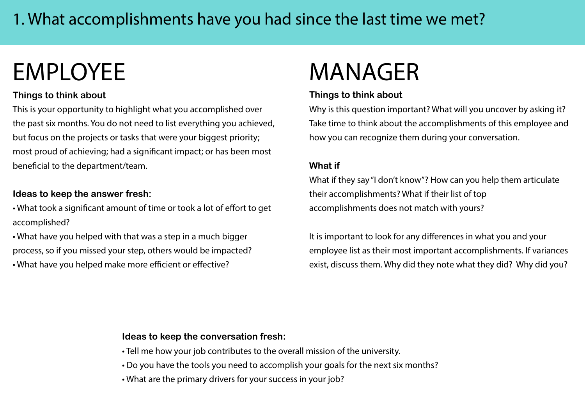# EMPLOYEE MANAGER

### **Things to think about**

This is your opportunity to highlight what you accomplished over the past six months. You do not need to list everything you achieved, but focus on the projects or tasks that were your biggest priority; most proud of achieving; had a significant impact; or has been most beneficial to the department/team.

### **Ideas to keep the answer fresh:**

• What took a significant amount of time or took a lot of effort to get accomplished?

• What have you helped with that was a step in a much bigger process, so if you missed your step, others would be impacted? • What have you helped make more efficient or effective?

#### **Things to think about**

Why is this question important? What will you uncover by asking it? Take time to think about the accomplishments of this employee and how you can recognize them during your conversation.

#### **What if**

What if they say "I don't know"? How can you help them articulate their accomplishments? What if their list of top accomplishments does not match with yours?

It is important to look for any differences in what you and your employee list as their most important accomplishments. If variances exist, discuss them. Why did they note what they did? Why did you?

- Tell me how your job contributes to the overall mission of the university.
- Do you have the tools you need to accomplish your goals for the next six months?
- What are the primary drivers for your success in your job?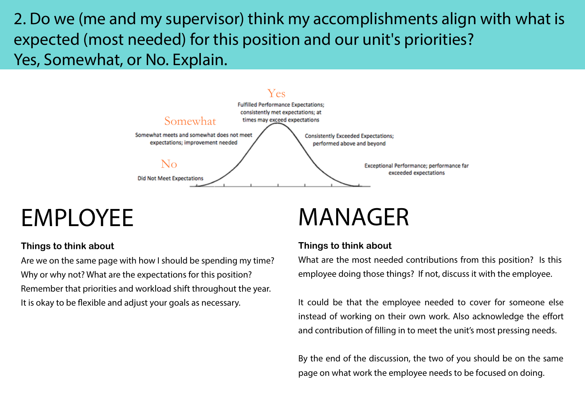2. Do we (me and my supervisor) think my accomplishments align with what is expected (most needed) for this position and our unit's priorities? Yes, Somewhat, or No. Explain.



## EMPLOYEE

#### **Things to think about**

Are we on the same page with how I should be spending my time? Why or why not? What are the expectations for this position? Remember that priorities and workload shift throughout the year. It is okay to be flexible and adjust your goals as necessary.

## MANAGER

#### **Things to think about**

What are the most needed contributions from this position? Is this employee doing those things? If not, discuss it with the employee.

It could be that the employee needed to cover for someone else instead of working on their own work. Also acknowledge the effort and contribution of filling in to meet the unit's most pressing needs.

By the end of the discussion, the two of you should be on the same page on what work the employee needs to be focused on doing.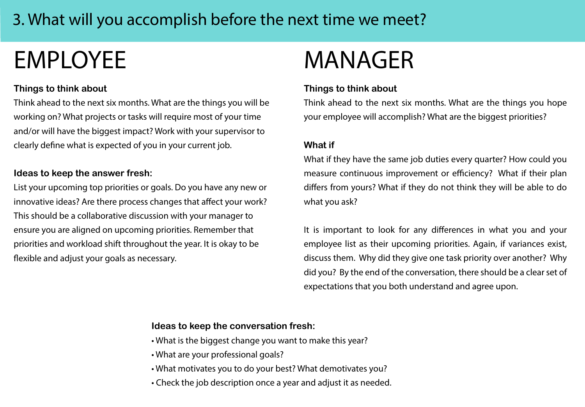### 3. What will you accomplish before the next time we meet?

# EMPLOYEE MANAGER

#### **Things to think about**

Think ahead to the next six months. What are the things you will be working on? What projects or tasks will require most of your time and/or will have the biggest impact? Work with your supervisor to clearly define what is expected of you in your current job.

#### **Ideas to keep the answer fresh:**

List your upcoming top priorities or goals. Do you have any new or innovative ideas? Are there process changes that affect your work? This should be a collaborative discussion with your manager to ensure you are aligned on upcoming priorities. Remember that priorities and workload shift throughout the year. It is okay to be flexible and adjust your goals as necessary.

#### **Things to think about**

Think ahead to the next six months. What are the things you hope your employee will accomplish? What are the biggest priorities?

#### **What if**

What if they have the same job duties every quarter? How could you measure continuous improvement or efficiency? What if their plan differs from yours? What if they do not think they will be able to do what you ask?

It is important to look for any differences in what you and your employee list as their upcoming priorities. Again, if variances exist, discuss them. Why did they give one task priority over another? Why did you? By the end of the conversation, there should be a clear set of expectations that you both understand and agree upon.

- What is the biggest change you want to make this year?
- What are your professional goals?
- What motivates you to do your best? What demotivates you?
- Check the job description once a year and adjust it as needed.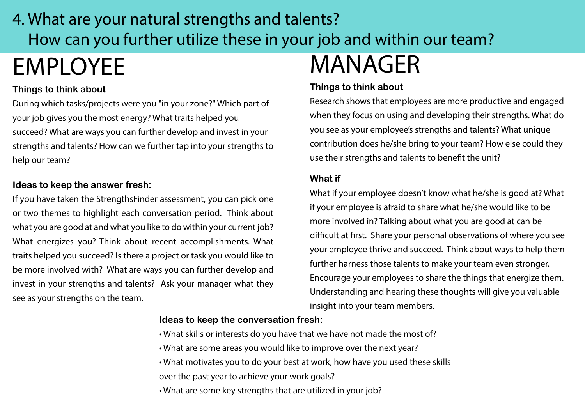## EMPLOYEE MANAGER 4. What are your natural strengths and talents? How can you further utilize these in your job and within our team?

#### **Things to think about**

During which tasks/projects were you "in your zone?" Which part of your job gives you the most energy? What traits helped you succeed? What are ways you can further develop and invest in your strengths and talents? How can we further tap into your strengths to help our team?

#### **Ideas to keep the answer fresh:**

If you have taken the StrengthsFinder assessment, you can pick one or two themes to highlight each conversation period. Think about what you are good at and what you like to do within your current job? What energizes you? Think about recent accomplishments. What traits helped you succeed? Is there a project or task you would like to be more involved with? What are ways you can further develop and invest in your strengths and talents? Ask your manager what they see as your strengths on the team.

#### **Things to think about**

Research shows that employees are more productive and engaged when they focus on using and developing their strengths. What do you see as your employee's strengths and talents? What unique contribution does he/she bring to your team? How else could they use their strengths and talents to benefit the unit?

#### **What if**

What if your employee doesn't know what he/she is good at? What if your employee is afraid to share what he/she would like to be more involved in? Talking about what you are good at can be difficult at first. Share your personal observations of where you see your employee thrive and succeed. Think about ways to help them further harness those talents to make your team even stronger. Encourage your employees to share the things that energize them. Understanding and hearing these thoughts will give you valuable insight into your team members.

- What skills or interests do you have that we have not made the most of?
- What are some areas you would like to improve over the next year?
- What motivates you to do your best at work, how have you used these skills over the past year to achieve your work goals?
- What are some key strengths that are utilized in your job?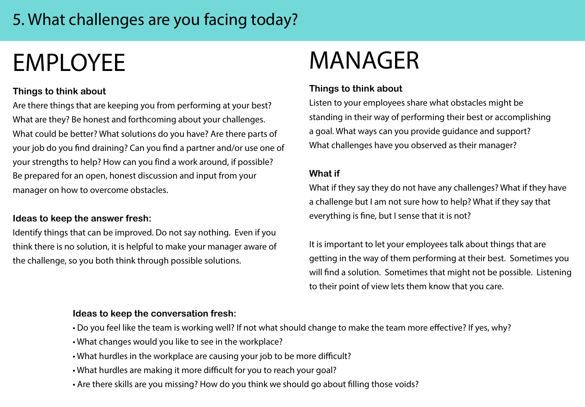### 5. What challenges are you facing today?

# EMPLOYEE

### **Things to think about**

Are there things that are keeping you from performing at your best? What are they? Be honest and forthcoming about your challenges. What could be better? What solutions do you have? Are there parts of your job do you find draining? Can you find a partner and/or use one of your strengths to help? How can you find a work around, if possible? Be prepared for an open, honest discussion and input from your manager on how to overcome obstacles.

#### **Ideas to keep the answer fresh:**

Identify things that can be improved. Do not say nothing. Even if you think there is no solution, it is helpful to make your manager aware of the challenge, so you both think through possible solutions.

## MANAGER

### **Things to think about**

Listen to your employees share what obstacles might be standing in their way of performing their best or accomplishing a goal. What ways can you provide guidance and support? What challenges have you observed as their manager?

#### **What if**

What if they say they do not have any challenges? What if they have a challenge but I am not sure how to help? What if they say that everything is fine, but I sense that it is not?

It is important to let your employees talk about things that are getting in the way of them performing at their best. Sometimes you will find a solution. Sometimes that might not be possible. Listening to their point of view lets them know that you care.

- Do you feel like the team is working well? If not what should change to make the team more effective? If yes, why?
- What changes would you like to see in the workplace?
- What hurdles in the workplace are causing your job to be more difficult?
- What hurdles are making it more difficult for you to reach your goal?
- Are there skills are you missing? How do you think we should go about filling those voids?